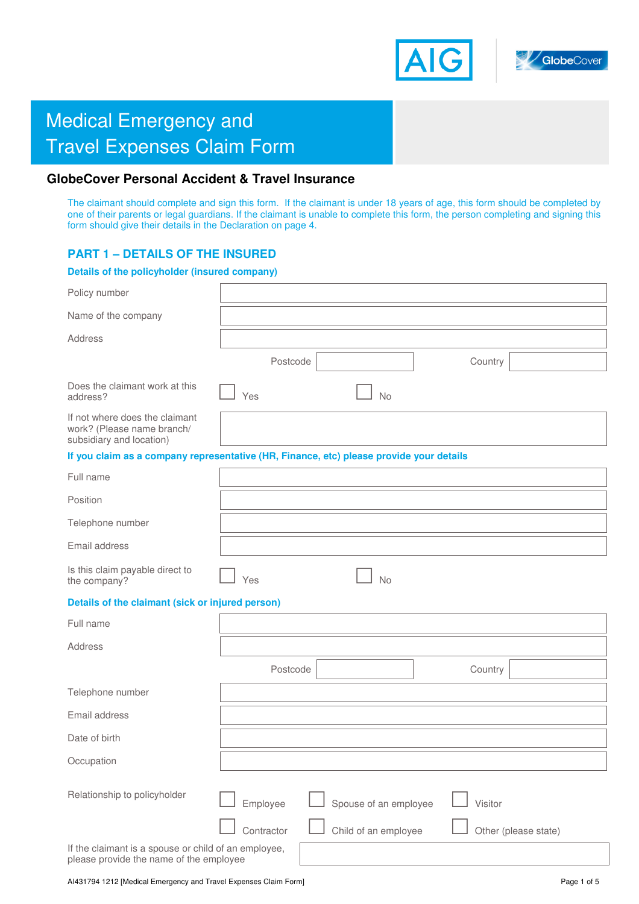



# **Medical Emergency and** Travel Expenses Claim Form

# **GlobeCover Personal Accident & Travel Insurance**

The claimant should complete and sign this form. If the claimant is under 18 years of age, this form should be completed by one of their parents or legal guardians. If the claimant is unable to complete this form, the person completing and signing this form should give their details in the Declaration on page 4.

# **PART 1 – DETAILS OF THE INSURED**

# **Details of the policyholder (insured company)**  Policy number Name of the company Address Postcode **Country Country** Does the claimant work at this <br>address? 
<br>
No If not where does the claimant work? (Please name branch/ subsidiary and location) **If you claim as a company representative (HR, Finance, etc) please provide your details**  Full name Position Telephone number Postcode Country

Email address Is this claim payable direct to  $\Box$  Yes  $\Box$  No **Details of the claimant (sick or injured person)**  Full name Address Telephone number Email address Date of birth **Occupation** Relationship to policyholder Employee Spouse of an employee Visitor Contractor  $\Box$  Child of an employee  $\Box$  Other (please state) If the claimant is a spouse or child of an employee, please provide the name of the employee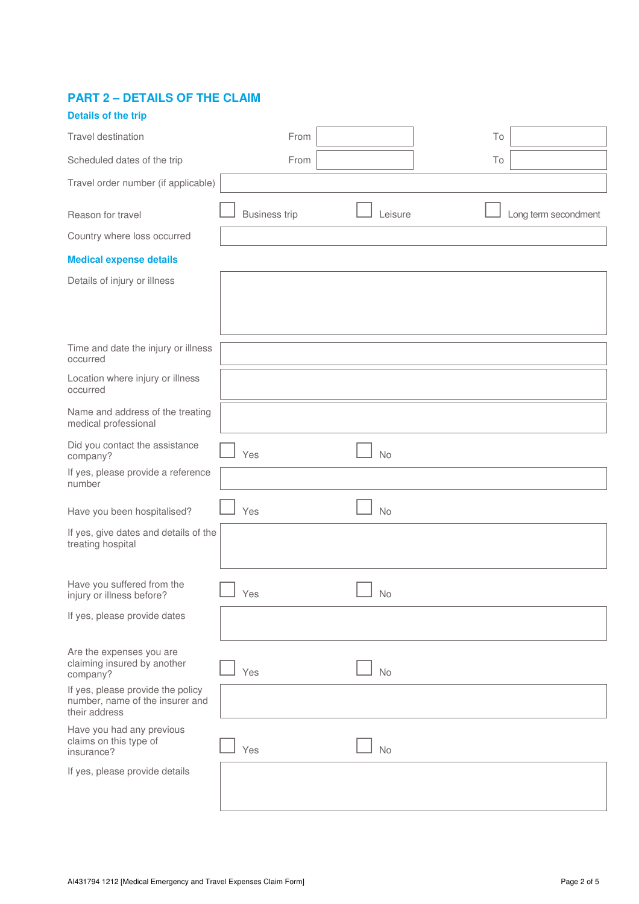# **PART 2 – DETAILS OF THE CLAIM**

| <b>Details of the trip</b>                                                            |                      |           |    |                      |
|---------------------------------------------------------------------------------------|----------------------|-----------|----|----------------------|
| Travel destination                                                                    | From                 |           | To |                      |
| Scheduled dates of the trip                                                           | From                 |           | To |                      |
| Travel order number (if applicable)                                                   |                      |           |    |                      |
| Reason for travel                                                                     | <b>Business trip</b> | Leisure   |    | Long term secondment |
| Country where loss occurred                                                           |                      |           |    |                      |
| <b>Medical expense details</b>                                                        |                      |           |    |                      |
| Details of injury or illness                                                          |                      |           |    |                      |
|                                                                                       |                      |           |    |                      |
| Time and date the injury or illness<br>occurred                                       |                      |           |    |                      |
| Location where injury or illness<br>occurred                                          |                      |           |    |                      |
| Name and address of the treating<br>medical professional                              |                      |           |    |                      |
| Did you contact the assistance<br>company?                                            | Yes                  | <b>No</b> |    |                      |
| If yes, please provide a reference<br>number                                          |                      |           |    |                      |
| Have you been hospitalised?                                                           | Yes                  | No        |    |                      |
| If yes, give dates and details of the<br>treating hospital                            |                      |           |    |                      |
| Have you suffered from the<br>injury or illness before?                               | Yes                  | No        |    |                      |
| If yes, please provide dates                                                          |                      |           |    |                      |
| Are the expenses you are<br>claiming insured by another<br>company?                   | Yes                  | <b>No</b> |    |                      |
| If yes, please provide the policy<br>number, name of the insurer and<br>their address |                      |           |    |                      |
| Have you had any previous<br>claims on this type of<br>insurance?                     | Yes                  | <b>No</b> |    |                      |
| If yes, please provide details                                                        |                      |           |    |                      |
|                                                                                       |                      |           |    |                      |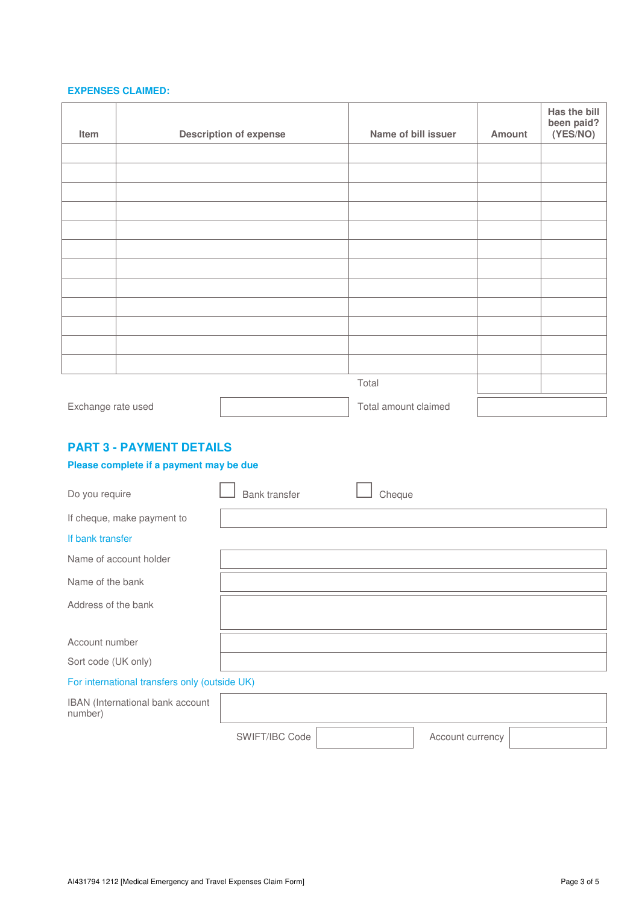#### **EXPENSES CLAIMED:**

| Item               | <b>Description of expense</b> | Name of bill issuer  | Amount | Has the bill<br>been paid?<br>(YES/NO) |
|--------------------|-------------------------------|----------------------|--------|----------------------------------------|
|                    |                               |                      |        |                                        |
|                    |                               |                      |        |                                        |
|                    |                               |                      |        |                                        |
|                    |                               |                      |        |                                        |
|                    |                               |                      |        |                                        |
|                    |                               |                      |        |                                        |
|                    |                               |                      |        |                                        |
|                    |                               |                      |        |                                        |
|                    |                               |                      |        |                                        |
|                    |                               |                      |        |                                        |
|                    |                               |                      |        |                                        |
|                    |                               |                      |        |                                        |
|                    |                               | Total                |        |                                        |
| Exchange rate used |                               | Total amount claimed |        |                                        |

# **PART 3 - PAYMENT DETAILS**

## **Please complete if a payment may be due**

| Do you require                                | Bank transfer | Cheque |
|-----------------------------------------------|---------------|--------|
| If cheque, make payment to                    |               |        |
| If bank transfer                              |               |        |
| Name of account holder                        |               |        |
| Name of the bank                              |               |        |
| Address of the bank                           |               |        |
|                                               |               |        |
| Account number                                |               |        |
| Sort code (UK only)                           |               |        |
| For international transfers only (outside UK) |               |        |
| IBAN (International bank account<br>number)   |               |        |

SWIFT/IBC Code Account currency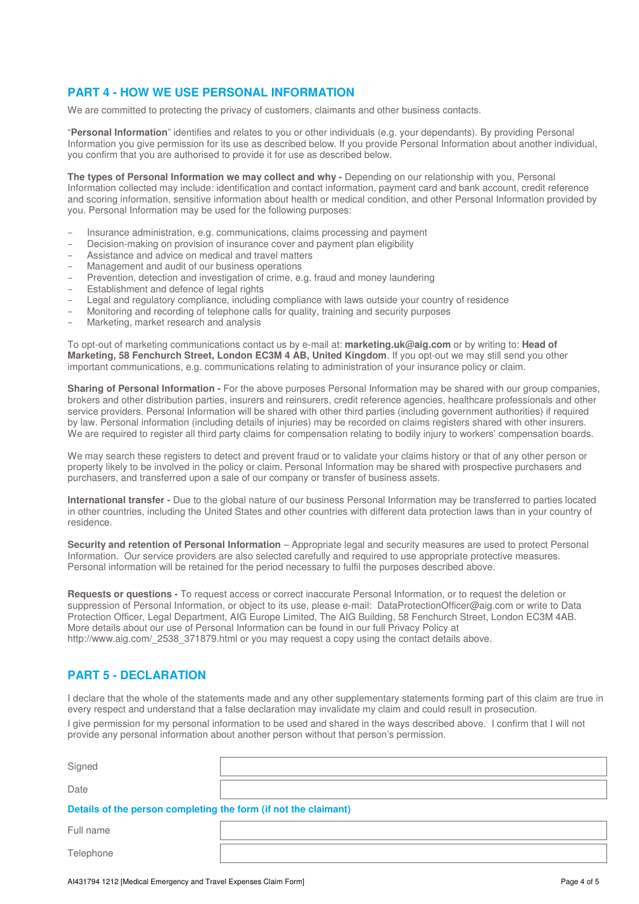# **PART 4 - HOW WE USE PERSONAL INFORMATION**

We are committed to protecting the privacy of customers, claimants and other business contacts.

"**Personal Information**" identifies and relates to you or other individuals (e.g. your dependants). By providing Personal Information you give permission for its use as described below. If you provide Personal Information about another individual, you confirm that you are authorised to provide it for use as described below.

The types of Personal Information we may collect and why - Depending on our relationship with you, Personal Information collected may include: identification and contact information, payment card and bank account, credit reference and scoring information, sensitive information about health or medical condition, and other Personal Information provided by you. Personal Information may be used for the following purposes:

- Insurance administration, e.g. communications, claims processing and payment
- Decision-making on provision of insurance cover and payment plan eligibility
- Assistance and advice on medical and travel matters
- Management and audit of our business operations
- Prevention, detection and investigation of crime, e.g. fraud and money laundering
- Establishment and defence of legal rights
- Legal and regulatory compliance, including compliance with laws outside your country of residence
- Monitoring and recording of telephone calls for quality, training and security purposes
- Marketing, market research and analysis

To opt-out of marketing communications contact us by e-mail at: **marketing.uk@aig.com** or by writing to: **Head of Marketing, 58 Fenchurch Street, London EC3M 4 AB, United Kingdom**. If you opt-out we may still send you other important communications, e.g. communications relating to administration of your insurance policy or claim.

**Sharing of Personal Information -** For the above purposes Personal Information may be shared with our group companies, brokers and other distribution parties, insurers and reinsurers, credit reference agencies, healthcare professionals and other service providers. Personal Information will be shared with other third parties (including government authorities) if required by law. Personal information (including details of injuries) may be recorded on claims registers shared with other insurers. We are required to register all third party claims for compensation relating to bodily injury to workers' compensation boards.

We may search these registers to detect and prevent fraud or to validate your claims history or that of any other person or property likely to be involved in the policy or claim. Personal Information may be shared with prospective purchasers and purchasers, and transferred upon a sale of our company or transfer of business assets.

**International transfer -** Due to the global nature of our business Personal Information may be transferred to parties located in other countries, including the United States and other countries with different data protection laws than in your country of residence.

**Security and retention of Personal Information** – Appropriate legal and security measures are used to protect Personal Information. Our service providers are also selected carefully and required to use appropriate protective measures. Personal information will be retained for the period necessary to fulfil the purposes described above.

**Requests or questions -** To request access or correct inaccurate Personal Information, or to request the deletion or suppression of Personal Information, or object to its use, please e-mail: DataProtectionOfficer@aig.com or write to Data Protection Officer, Legal Department, AIG Europe Limited, The AIG Building, 58 Fenchurch Street, London EC3M 4AB. More details about our use of Personal Information can be found in our full Privacy Policy at http://www.aig.com/\_2538\_371879.html or you may request a copy using the contact details above.

### **PART 5 - DECLARATION**

**Telephone** 

I declare that the whole of the statements made and any other supplementary statements forming part of this claim are true in every respect and understand that a false declaration may invalidate my claim and could result in prosecution.

I give permission for my personal information to be used and shared in the ways described above. I confirm that I will not provide any personal information about another person without that person's permission.

| Signed                                                          |  |  |
|-----------------------------------------------------------------|--|--|
| Date                                                            |  |  |
| Details of the person completing the form (if not the claimant) |  |  |
| Full name                                                       |  |  |